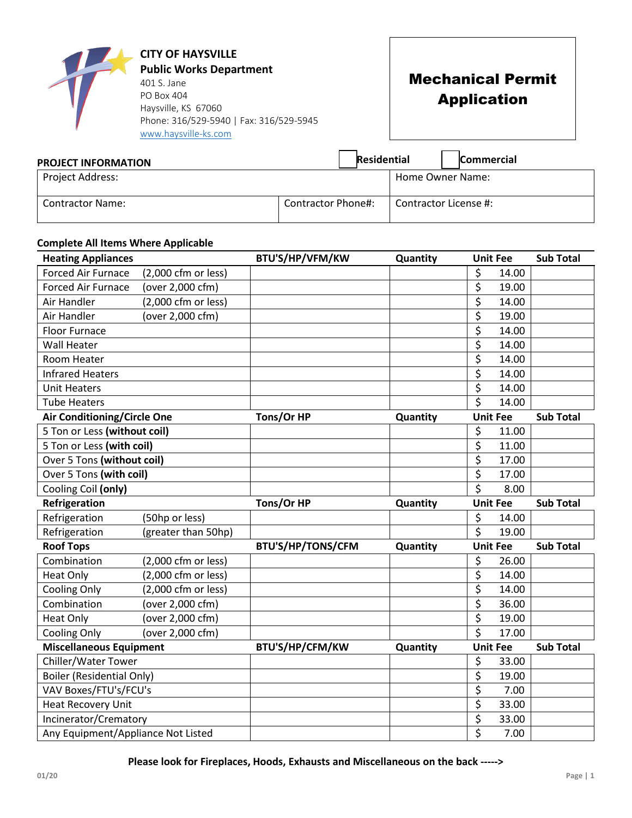|                               | <b>CITY OF HAYSVILLE</b><br><b>Public Works Department</b><br>401 S. Jane<br>PO Box 404<br>Haysville, KS 67060<br>Phone: 316/529-5940   Fax: 316/529-5945<br>www.haysville-ks.com |                    | <b>Mechanical Permit</b><br><b>Application</b> |
|-------------------------------|-----------------------------------------------------------------------------------------------------------------------------------------------------------------------------------|--------------------|------------------------------------------------|
| <b>DRAIFET INIFADRAATIANI</b> |                                                                                                                                                                                   | <b>Residential</b> | <b>Commercial</b>                              |

| <b>PROJECT INFORMATION</b> | Residential        | <b>Commercial</b>     |
|----------------------------|--------------------|-----------------------|
| Project Address:           |                    | Home Owner Name:      |
| <b>Contractor Name:</b>    | Contractor Phone#: | Contractor License #: |

## **Complete All Items Where Applicable**

| <b>Heating Appliances</b>          |                     | BTU'S/HP/VFM/KW          | Quantity | <b>Unit Fee</b>                          | <b>Sub Total</b> |
|------------------------------------|---------------------|--------------------------|----------|------------------------------------------|------------------|
| <b>Forced Air Furnace</b>          | (2,000 cfm or less) |                          |          | \$<br>14.00                              |                  |
| <b>Forced Air Furnace</b>          | (over 2,000 cfm)    |                          |          | \$<br>19.00                              |                  |
| Air Handler                        | (2,000 cfm or less) |                          |          | \$<br>14.00                              |                  |
| Air Handler                        | (over 2,000 cfm)    |                          |          | \$<br>19.00                              |                  |
| <b>Floor Furnace</b>               |                     |                          |          | \$<br>14.00                              |                  |
| <b>Wall Heater</b>                 |                     |                          |          | \$<br>14.00                              |                  |
| Room Heater                        |                     |                          |          | \$<br>14.00                              |                  |
| <b>Infrared Heaters</b>            |                     |                          |          | \$<br>14.00                              |                  |
| <b>Unit Heaters</b>                |                     |                          |          | $\overline{\boldsymbol{\zeta}}$<br>14.00 |                  |
| <b>Tube Heaters</b>                |                     |                          |          | \$<br>14.00                              |                  |
| <b>Air Conditioning/Circle One</b> |                     | Tons/Or HP               | Quantity | <b>Unit Fee</b>                          | <b>Sub Total</b> |
| 5 Ton or Less (without coil)       |                     |                          |          | \$<br>11.00                              |                  |
| 5 Ton or Less (with coil)          |                     |                          |          | \$<br>11.00                              |                  |
| Over 5 Tons (without coil)         |                     |                          |          | \$<br>17.00                              |                  |
| Over 5 Tons (with coil)            |                     |                          |          | \$<br>17.00                              |                  |
| Cooling Coil (only)                |                     |                          |          | $\overline{\boldsymbol{\zeta}}$<br>8.00  |                  |
| Refrigeration                      |                     | Tons/Or HP               | Quantity | <b>Unit Fee</b>                          | <b>Sub Total</b> |
| Refrigeration                      | (50hp or less)      |                          |          | \$<br>14.00                              |                  |
| Refrigeration                      | (greater than 50hp) |                          |          | \$<br>19.00                              |                  |
| <b>Roof Tops</b>                   |                     | <b>BTU'S/HP/TONS/CFM</b> | Quantity | <b>Unit Fee</b>                          | <b>Sub Total</b> |
| Combination                        | (2,000 cfm or less) |                          |          | \$<br>26.00                              |                  |
| <b>Heat Only</b>                   | (2,000 cfm or less) |                          |          | \$<br>14.00                              |                  |
| <b>Cooling Only</b>                | (2,000 cfm or less) |                          |          | \$<br>14.00                              |                  |
| Combination                        | (over 2,000 cfm)    |                          |          | \$<br>36.00                              |                  |
| <b>Heat Only</b>                   | (over 2,000 cfm)    |                          |          | \$<br>19.00                              |                  |
| <b>Cooling Only</b>                | (over 2,000 cfm)    |                          |          | $\overline{\boldsymbol{\zeta}}$<br>17.00 |                  |
| <b>Miscellaneous Equipment</b>     |                     | BTU'S/HP/CFM/KW          | Quantity | <b>Unit Fee</b>                          | <b>Sub Total</b> |
| Chiller/Water Tower                |                     |                          |          | \$<br>33.00                              |                  |
| <b>Boiler (Residential Only)</b>   |                     |                          |          | \$<br>19.00                              |                  |
| VAV Boxes/FTU's/FCU's              |                     |                          |          | \$<br>7.00                               |                  |
| Heat Recovery Unit                 |                     |                          |          | $\overline{\xi}$<br>33.00                |                  |
| Incinerator/Crematory              |                     |                          |          |                                          |                  |
|                                    |                     |                          |          | \$<br>33.00<br>\$                        |                  |

**Please look for Fireplaces, Hoods, Exhausts and Miscellaneous on the back ----->**